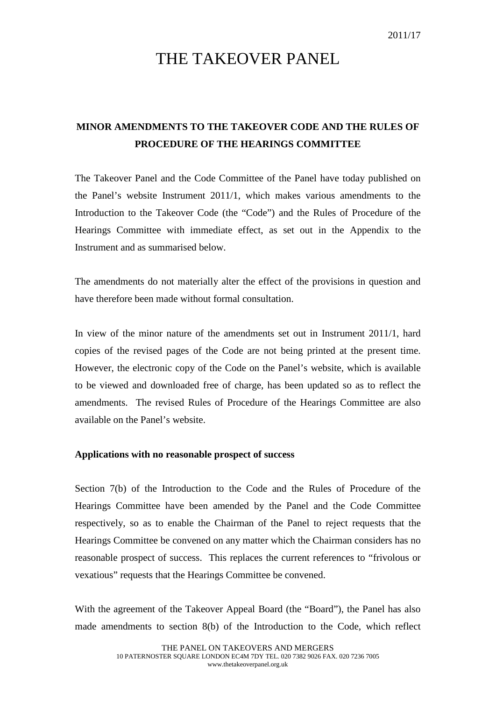## THE TAKEOVER PANEL

## **MINOR AMENDMENTS TO THE TAKEOVER CODE AND THE RULES OF PROCEDURE OF THE HEARINGS COMMITTEE**

The Takeover Panel and the Code Committee of the Panel have today published on the Panel's website Instrument 2011/1, which makes various amendments to the Introduction to the Takeover Code (the "Code") and the Rules of Procedure of the Hearings Committee with immediate effect, as set out in the Appendix to the Instrument and as summarised below.

The amendments do not materially alter the effect of the provisions in question and have therefore been made without formal consultation.

In view of the minor nature of the amendments set out in Instrument 2011/1, hard copies of the revised pages of the Code are not being printed at the present time. However, the electronic copy of the Code on the Panel's website, which is available to be viewed and downloaded free of charge, has been updated so as to reflect the amendments. The revised Rules of Procedure of the Hearings Committee are also available on the Panel's website.

## **Applications with no reasonable prospect of success**

Section 7(b) of the Introduction to the Code and the Rules of Procedure of the Hearings Committee have been amended by the Panel and the Code Committee respectively, so as to enable the Chairman of the Panel to reject requests that the Hearings Committee be convened on any matter which the Chairman considers has no reasonable prospect of success. This replaces the current references to "frivolous or vexatious" requests that the Hearings Committee be convened.

With the agreement of the Takeover Appeal Board (the "Board"), the Panel has also made amendments to section 8(b) of the Introduction to the Code, which reflect